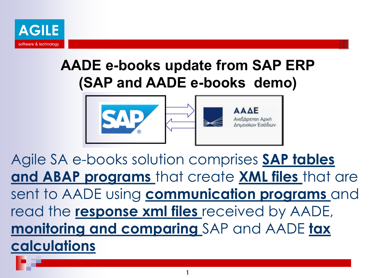

# **AADE e-books update from SAP ERP (SAP and AADE e-books demo)**



Agile SA e-books solution comprises **SAP tables and ABAP programs** that create **XML files** that are sent to AADE using **communication programs** and read the **response xml files** received by AADE, **monitoring and comparing** SAP and AADE **tax calculations**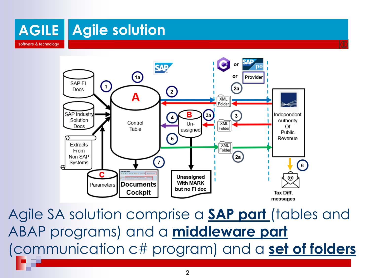



Agile SA solution comprise a **SAP part** (tables and ABAP programs) and a **middleware part** (communication c# program) and a **set of folders**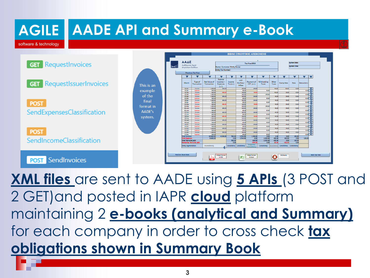

**XML files** are sent to AADE using **5 APIs** (3 POST and 2 GET)and posted in IAPR **cloud** platform maintaining 2 **e-books (analytical and Summary)**  for each company in order to cross check **tax obligations shown in Summary Book**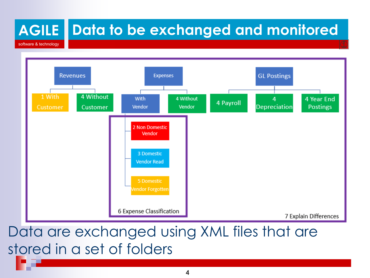#### **AGILE** software & technology **Data to be exchanged and monitored**



## Data are exchanged using XML files that are stored in a set of folders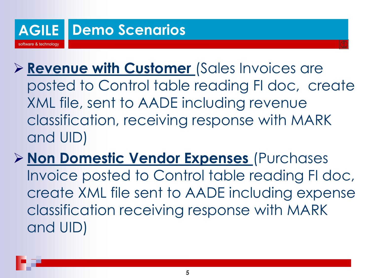

- ➢ **Revenue with Customer** (Sales Invoices are posted to Control table reading FI doc, create XML file, sent to AADE including revenue classification, receiving response with MARK and UID)
- ➢ **Non Domestic Vendor Expenses** (Purchases Invoice posted to Control table reading FI doc, create XML file sent to AADE including expense classification receiving response with MARK and UID)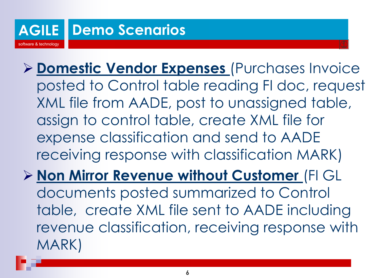

- ➢ **Domestic Vendor Expenses** (Purchases Invoice posted to Control table reading FI doc, request XML file from AADE, post to unassigned table, assign to control table, create XML file for expense classification and send to AADE receiving response with classification MARK)
- ➢ **Non Mirror Revenue without Customer** (FI GL documents posted summarized to Control table, create XML file sent to AADE including revenue classification, receiving response with MARK)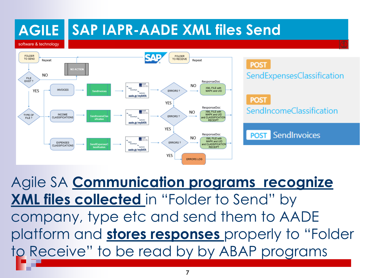

Agile SA **Communication programs recognize XML files collected** in "Folder to Send" by company, type etc and send them to AADE platform and **stores responses** properly to "Folder to Receive" to be read by by ABAP programs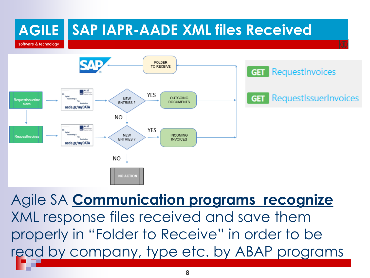

Agile SA **Communication programs recognize**  XML response files received and save them properly in "Folder to Receive" in order to be read by company, type etc. by ABAP programs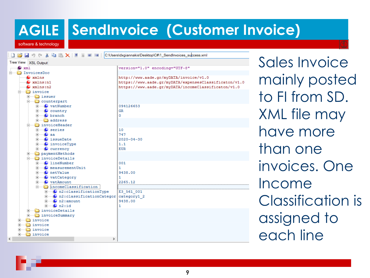# **AGILE SendInvoice (Customer Invoice)**

software & technology

**DBH90 X 电高义用重要用** C:\Users\dxgiannakis\Desktop\C#\1\_SendInvoices\_success.xml



Sales Invoice mainly posted to FI from SD. XML file may have more than one invoices. One Income Classification is assigned to each line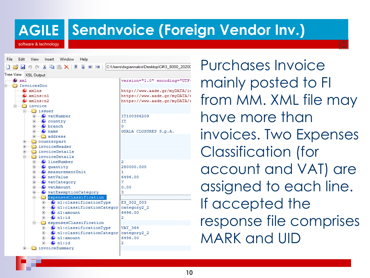### **Sendnvoice (Foreign Vendor Inv.)**

software & technology

| <b>File</b><br>Edit<br>view insert window<br>Help |                                              |
|---------------------------------------------------|----------------------------------------------|
| <b>D 23 日 9 (- * 4) 4 大 1 田 田 田 1 1</b>           | C:\Users\dxgiannakis\Desktop\C#\3_8000_20200 |
| Tree View XSL Output                              |                                              |
| $\bullet$ xml                                     | version="1.0" encoding="UTF-                 |
| InvoicesDoc                                       |                                              |
| $\bullet$ xmlns                                   | http://www.aade.gr/myDATA/im                 |
| $\blacksquare$ xmlns:n1                           | https://www.aade.gr/myDATA/6                 |
| $\bullet$ xmlns:n2                                | https://www.aade.gr/myDATA/6                 |
| $\Box$ invoice                                    |                                              |
| <b>E</b> issuer                                   |                                              |
| i vatNumber                                       | IT100386209                                  |
| $\Box$ $\Box$ country                             | IT                                           |
| $\blacksquare$ branch                             | 0                                            |
| $\Box$ $\Box$ name                                | GUALA CLOSURES S.p.A.                        |
| <b>i</b> address                                  |                                              |
| Female counterpart                                |                                              |
| <b>A</b> invoiceHeader                            |                                              |
| मे <del>ं तो</del> invoiceDetails                 |                                              |
| <b>E invoiceDetails</b>                           |                                              |
| <b>D</b> lineNumber                               | 2                                            |
| $\Box$ quantity                                   | 280000,000                                   |
| <b>Fig. C</b> measurementUnit                     | 1.                                           |
| <b>Figure</b> netValue                            | 6496.00                                      |
| <b>E</b> vatCategory                              | 7                                            |
| <b>Election</b> vatAmount                         | 0.00                                         |
| watExemptionCategory                              |                                              |
| <b>Election</b> expensesClassification            |                                              |
| i C n1: classificationType                        | E3 302 003                                   |
| Fig. 0 n1: classificationCategor                  | category2 2                                  |
| $\blacksquare$ n1: amount                         | 6496.00                                      |
| $\Box$ O n1:id                                    | 2                                            |
| expensesClassification                            |                                              |
| $\Box$ $\Box$ n1: classificationType              | VAT 364                                      |
| F 0 n1: classification Categor   category2 2      |                                              |
| <b>E</b> n1:amount                                | 6496.00                                      |
|                                                   | 2                                            |
| invoiceSummary                                    |                                              |
|                                                   |                                              |

Purchases Invoice mainly posted to FI from MM. XML file may have more than invoices. Two Expenses Classification (for account and VAT) are assigned to each line. If accepted the response file comprises MARK and UID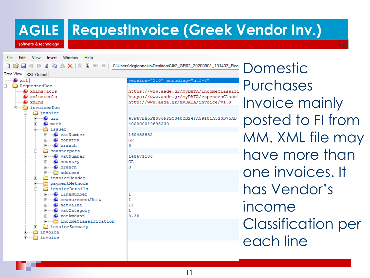### **RequestInvoice (Greek Vendor Inv.)**

software & technology

File -Edit View Insert Window Help C:\Users\dxgiannakis\Desktop\C#\2\_GR02\_20200901\_131433\_Reqi Domestic y in 高×車 **T** E E Tree View XSL Output  $\bullet$  xml version="1.0" encoding="utf-8" Purchases RequestedDoc  $\bullet$  xmlns: icls https://www.aade.gr/myDATA/incomeClassifi  $\blacksquare$  xmlns:ecls https://www.aade.gr/myDATA/expensesClassi Invoice mainly  $\bullet$  xmlns http://www.aade.gr/mvDATA/invoice/v1.0 invoicesDoc invoice posted to FI from  $\bullet$  uid 48F67BB5F8086FFBC340CB24FA59101A520D75AD 400000019695230  $\bullet$  mark issuer MM. XML file may  $\bullet$  vatNumber 160458882  $\bullet$  country GR  $\Omega$ **O** branch □ counterpart have more than **Fig. O** vatNumber 148671186 GR  $\Box$   $\Box$  country  $\overline{+}$  O branch  $\Omega$ one invoices. It **i** address invoiceHeader paymentMethods has Vendor's invoiceDetails **O** lineNumber 1 O measurementUnit  $\mathbf{1}$ income 14 O netValue **O** vatCategory 1 3.36  $\bullet$  vatAmount Classification per incomeClassification invoiceSummary d invoice each lineinvoice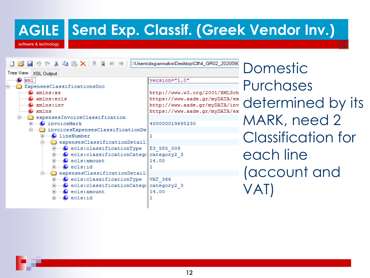#### **AGILE Send Exp. Classif. (Greek Vendor Inv.)**

software & technology

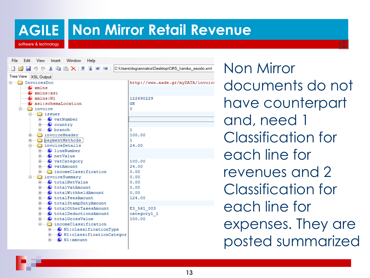software & technology

### **Non Mirror Retail Revenue**

File Edit View Insert Window Help 自己日のか 目目 C:\Users\dxgiannakis\Desktop\C#\5\_lianiko\_esodo.xml  $\times$   $\overline{4}$ **THE REAL** Tree View XSL Output Figure InvoicesDoc http://www.aade.gr/myDATA/invoice  $\Box$  xmlns xmlns:xsi xmlns:N1 122690229 xsi:schemaLocation **GR** invoice  $\Omega$ 白……∩ issuer O vatNumber  $\bullet$  country **O** branch 100,00 invoiceHeader paymentMethods  $24.00$ **Electrical invoiceDetails O**lineNumber O netValue **O** vatCategory 100.00 24.00 **O** vatAmount  $0.00$ ⊪**na incomeClassification** invoiceSummary  $0.00$  $0.00$ C totalNetValue  $0.00$ C totalVatAmount C totalWithheldAmount  $0.00$ 124.00 C totalFeesAmount C totalStampDutyAmount C totalOtherTaxesAmount E3 561 003 C totalDeductionsAmount category1 1 C totalGrossValue 100.00 incomeClassification **Decombination** DN1: classification Type Mi:classificationCategor **E** N1:amount

Non Mirror documents do not have counterpart and, need 1 Classification for each line for revenues and 2 Classification for each line for expenses. They are posted summarized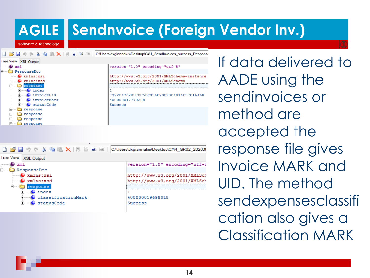#### **AGILE Sendnvoice (Foreign Vendor Inv.)**

software & technology

| $\triangleright$ $\blacksquare$ $\triangleright$ $\triangleright$ $\triangleright$ $\blacksquare$ $\blacktriangleright$ $\blacksquare$ $\blacktriangleright$ $\blacksquare$<br>→ → → | C:\Users\dxqiannakis\Desktop\C#\1_SendInvoices_success_Respons |
|--------------------------------------------------------------------------------------------------------------------------------------------------------------------------------------|----------------------------------------------------------------|
| Tree View XSL Output                                                                                                                                                                 |                                                                |
| xml                                                                                                                                                                                  | version="1.0" encoding="utf-8"                                 |
| ResponseDoc                                                                                                                                                                          |                                                                |
| xmlns:xsi                                                                                                                                                                            | http://www.w3.org/2001/XMLSchema-instance                      |
| xmlns:xsd                                                                                                                                                                            | http://www.w3.org/2001/XMLSchema                               |
| ⊟<br>response                                                                                                                                                                        |                                                                |
| index                                                                                                                                                                                |                                                                |
| invoiceUid                                                                                                                                                                           | 7322E4762BD70C5BF956E70C93B4814D5CE16468                       |
| invoiceMark                                                                                                                                                                          | 400000017770208                                                |
| statusCode                                                                                                                                                                           | Success                                                        |
| response<br>$\overline{+}$                                                                                                                                                           |                                                                |
| $\overline{+}$<br>response                                                                                                                                                           |                                                                |
| $\overline{+}$<br>response                                                                                                                                                           |                                                                |
| response                                                                                                                                                                             |                                                                |
|                                                                                                                                                                                      |                                                                |

| 一脚<br>$\Box$ $\bigtriangledown$ $\blacksquare$ $\cup$ $\circ$ $\Downarrow$ $\blacksquare$ $\blacksquare$ $\times$ $\parallel$<br>单<br>$\leftarrow$ $\rightarrow$ | C:\Users\dxqiannakis\Desktop\C#\4 GR02 20200\ |
|------------------------------------------------------------------------------------------------------------------------------------------------------------------|-----------------------------------------------|
| Tree View   XSL Output                                                                                                                                           |                                               |
| xm1                                                                                                                                                              | version="1.0" encoding="utf-8                 |
| ResponseDoc<br>-                                                                                                                                                 |                                               |
| xmlns:xsi                                                                                                                                                        | http://www.w3.org/2001/XMLSch                 |
| xmlns:xsd                                                                                                                                                        | http://www.w3.org/2001/XMLSch                 |
| response                                                                                                                                                         |                                               |
| index                                                                                                                                                            |                                               |
| classificationMark<br>$\overline{+}$                                                                                                                             | 400000019698018                               |
| statusCode                                                                                                                                                       | Success                                       |
|                                                                                                                                                                  |                                               |

If data delivered to AADE using the sendinvoices or method are accepted the response file gives Invoice MARK and UID. The method sendexpensesclassifi cation also gives a Classification MARK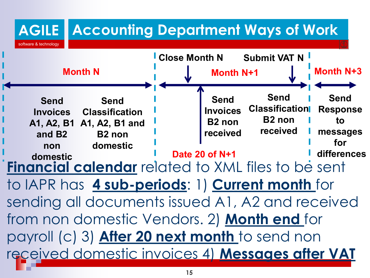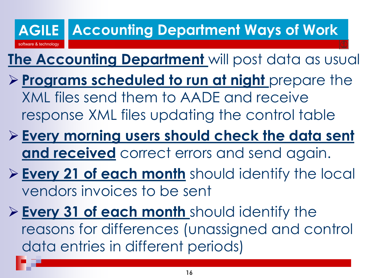#### **AGILE** software & technology **Accounting Department Ways of Work**

# **The Accounting Department** will post data as usual

- ➢ **Programs scheduled to run at night** prepare the XML files send them to AADE and receive response XML files updating the control table
- ➢ **Every morning users should check the data sent and received** correct errors and send again.
- ➢ **Every 21 of each month** should identify the local vendors invoices to be sent
- ➢ **Every 31 of each month** should identify the reasons for differences (unassigned and control data entries in different periods)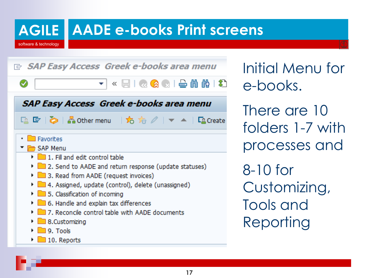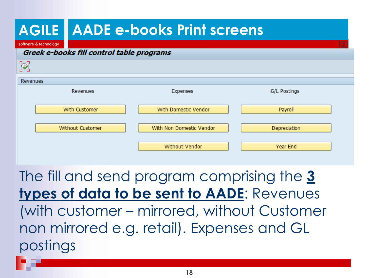#### **AGILE AADE e-books Print screens**

software & technology

#### Greek e-books fill control table programs

| $\circledR$      |                          |                     |
|------------------|--------------------------|---------------------|
| Revenues         |                          |                     |
| Revenues         | Expenses                 | G/L Postings        |
| With Customer    | With Domestic Vendor     | Payroll             |
| Without Customer | With Non Domestic Vendor | <b>Depreciation</b> |
|                  | Without Vendor           | Year End            |

The fill and send program comprising the **3 types of data to be sent to AADE**: Revenues (with customer – mirrored, without Customer non mirrored e.g. retail). Expenses and GL postings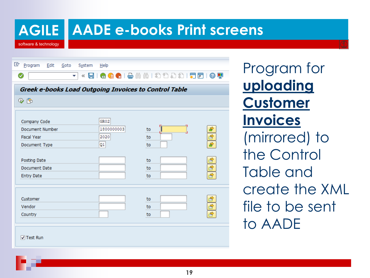software & technology

### **AADE e-books Print screens**

| 喡 | Program<br>Edit<br>Goto<br>System                     | Help       |                                             |               |
|---|-------------------------------------------------------|------------|---------------------------------------------|---------------|
|   | ☑<br>$\ll$                                            |            | HIQQ 18 18 11 11 11 11 11 11 11 11 11 12 12 |               |
|   | Greek e-books Load Outgoing Invoices to Control Table |            |                                             |               |
|   | $\circledast$ [Fe                                     |            |                                             |               |
|   |                                                       |            |                                             |               |
|   | Company Code                                          | GR02       |                                             |               |
|   | Document Number                                       | 1800000003 | to                                          | ₽             |
|   | <b>Fiscal Year</b>                                    | 2020       | to                                          |               |
|   | Document Type                                         | Q1         | to                                          | $\frac{1}{2}$ |
|   |                                                       |            |                                             |               |
|   | Posting Date                                          |            | to                                          |               |
|   | Document Date                                         |            | to                                          |               |
|   | <b>Entry Date</b>                                     |            | to                                          | 中国で           |
|   |                                                       |            |                                             |               |
|   |                                                       |            |                                             |               |
|   | Customer                                              |            | to                                          |               |
|   | Vendor                                                |            | to                                          |               |
|   | Country                                               |            | to                                          | 白母は           |
|   |                                                       |            |                                             |               |
|   |                                                       |            |                                             |               |
|   |                                                       |            |                                             |               |
|   | √ Test Run                                            |            |                                             |               |

Program for **uploading Customer Invoices**  (mirrored) to the Control Table and create the XML file to be sent to AADE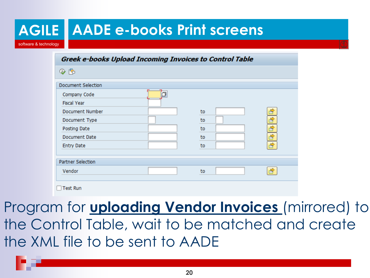|                       | <b>AGILE   AADE e-books Print screens</b>               |          |                              |
|-----------------------|---------------------------------------------------------|----------|------------------------------|
| software & technology |                                                         |          |                              |
|                       | Greek e-books Upload Incoming Invoices to Control Table |          |                              |
|                       | $\circledast$                                           |          |                              |
|                       | <b>Document Selection</b>                               |          |                              |
|                       | Company Code<br><b>Fiscal Year</b>                      |          |                              |
|                       | Document Number                                         | to       | 8                            |
|                       | Document Type<br>Posting Date                           | to<br>to | B<br>$\overline{\mathbf{B}}$ |
|                       | Document Date                                           | to       | $\overline{\mathbf{B}}$      |
|                       | <b>Entry Date</b>                                       | to       | ₩                            |
|                       | <b>Partner Selection</b>                                |          |                              |
|                       | Vendor                                                  | to       | R                            |
|                       | <b>Test Run</b>                                         |          |                              |

Program for **uploading Vendor Invoices** (mirrored) to the Control Table, wait to be matched and create the XML file to be sent to AADE